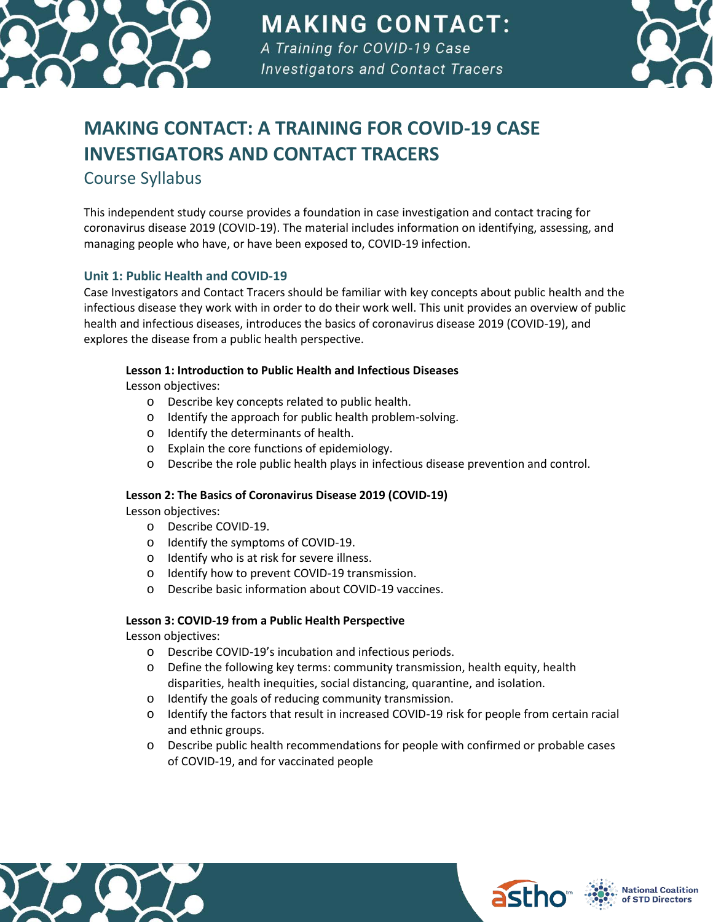

**MAKING CONTACT:** 

A Training for COVID-19 Case **Investigators and Contact Tracers** 



# **MAKING CONTACT: A TRAINING FOR COVID-19 CASE INVESTIGATORS AND CONTACT TRACERS**

Course Syllabus

This independent study course provides a foundation in case investigation and contact tracing for coronavirus disease 2019 (COVID-19). The material includes information on identifying, assessing, and managing people who have, or have been exposed to, COVID-19 infection.

# **Unit 1: Public Health and COVID-19**

Case Investigators and Contact Tracers should be familiar with key concepts about public health and the infectious disease they work with in order to do their work well. This unit provides an overview of public health and infectious diseases, introduces the basics of coronavirus disease 2019 (COVID-19), and explores the disease from a public health perspective.

# **Lesson 1: Introduction to Public Health and Infectious Diseases**

Lesson objectives:

- o Describe key concepts related to public health.
- o Identify the approach for public health problem-solving.
- o Identify the determinants of health.
- o Explain the core functions of epidemiology.
- o Describe the role public health plays in infectious disease prevention and control.

# **Lesson 2: The Basics of Coronavirus Disease 2019 (COVID-19)**

Lesson objectives:

- o Describe COVID-19.
- o Identify the symptoms of COVID-19.
- o Identify who is at risk for severe illness.
- o Identify how to prevent COVID-19 transmission.
- o Describe basic information about COVID-19 vaccines.

# **Lesson 3: COVID-19 from a Public Health Perspective**

Lesson objectives:

- o Describe COVID-19's incubation and infectious periods.
- o Define the following key terms: community transmission, health equity, health disparities, health inequities, social distancing, quarantine, and isolation.
- o Identify the goals of reducing community transmission.
- o Identify the factors that result in increased COVID-19 risk for people from certain racial and ethnic groups.
- o Describe public health recommendations for people with confirmed or probable cases of COVID-19, and for vaccinated people





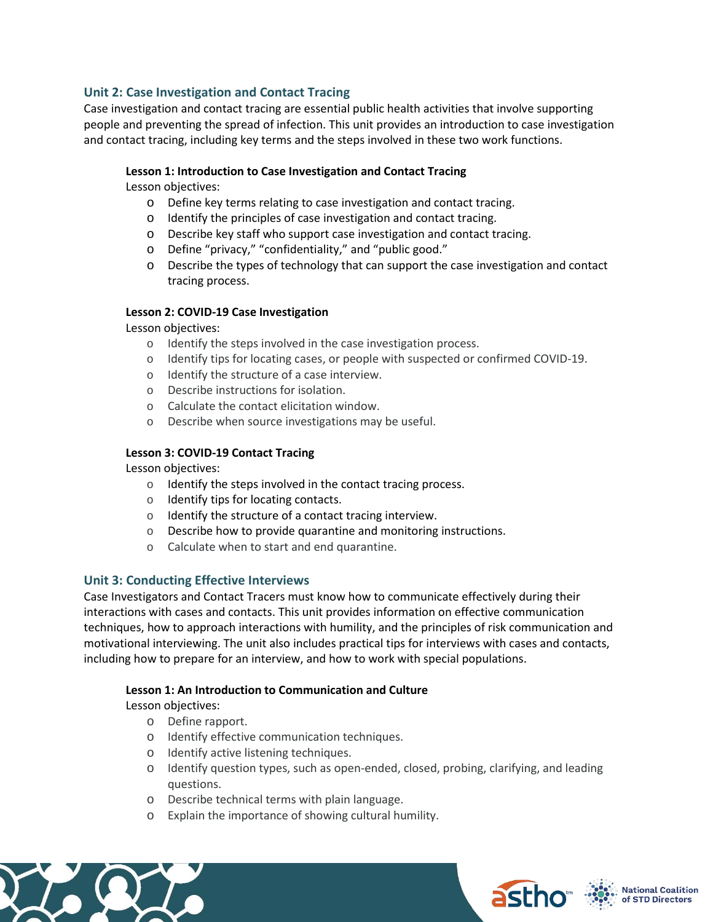### **Unit 2: Case Investigation and Contact Tracing**

Case investigation and contact tracing are essential public health activities that involve supporting people and preventing the spread of infection. This unit provides an introduction to case investigation and contact tracing, including key terms and the steps involved in these two work functions.

#### **Lesson 1: Introduction to Case Investigation and Contact Tracing**

Lesson objectives:

- o Define key terms relating to case investigation and contact tracing.
- o Identify the principles of case investigation and contact tracing.
- o Describe key staff who support case investigation and contact tracing.
- o Define "privacy," "confidentiality," and "public good."
- o Describe the types of technology that can support the case investigation and contact tracing process.

#### **Lesson 2: COVID-19 Case Investigation**

#### Lesson objectives:

- o Identify the steps involved in the case investigation process.
- o Identify tips for locating cases, or people with suspected or confirmed COVID-19.
- o Identify the structure of a case interview.
- o Describe instructions for isolation.
- o Calculate the contact elicitation window.
- o Describe when source investigations may be useful.

#### **Lesson 3: COVID-19 Contact Tracing**

Lesson objectives:

- o Identify the steps involved in the contact tracing process.
- o Identify tips for locating contacts.
- o Identify the structure of a contact tracing interview.
- o Describe how to provide quarantine and monitoring instructions.
- o Calculate when to start and end quarantine.

#### **Unit 3: Conducting Effective Interviews**

Case Investigators and Contact Tracers must know how to communicate effectively during their interactions with cases and contacts. This unit provides information on effective communication techniques, how to approach interactions with humility, and the principles of risk communication and motivational interviewing. The unit also includes practical tips for interviews with cases and contacts, including how to prepare for an interview, and how to work with special populations.

#### **Lesson 1: An Introduction to Communication and Culture**

Lesson objectives:

- o Define rapport.
- o Identify effective communication techniques.
- o Identify active listening techniques.
- o Identify question types, such as open-ended, closed, probing, clarifying, and leading questions.
- o Describe technical terms with plain language.
- o Explain the importance of showing cultural humility.